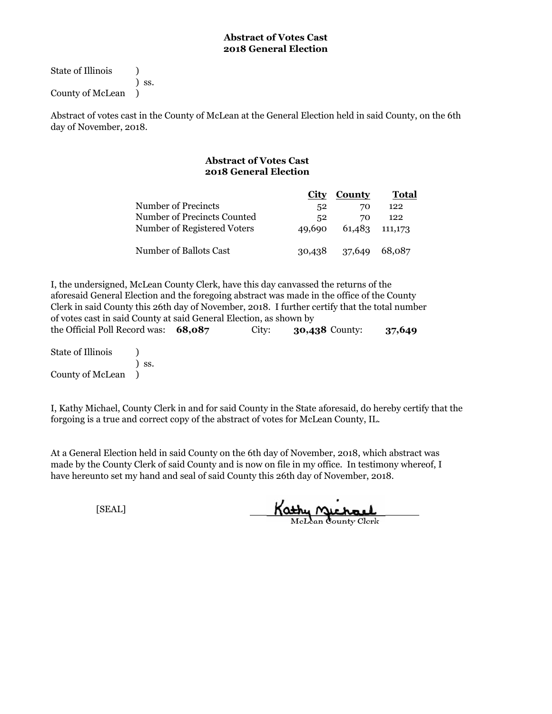State of Illinois (1) ) ss.

County of McLean )

Abstract of votes cast in the County of McLean at the General Election held in said County, on the 6th day of November, 2018.

# **Abstract of Votes Cast 2018 General Election**

|                             | City   | County         | Total  |
|-----------------------------|--------|----------------|--------|
| Number of Precincts         | 52     | 70             | 122    |
| Number of Precincts Counted | 52     | 70             | 122    |
| Number of Registered Voters | 49,690 | 61,483 111,173 |        |
| Number of Ballots Cast      |        | 30,438 37,649  | 68.087 |

the Official Poll Record was: **68,087** City: **30,438** County: **37,649** I, the undersigned, McLean County Clerk, have this day canvassed the returns of the aforesaid General Election and the foregoing abstract was made in the office of the County Clerk in said County this 26th day of November, 2018. I further certify that the total number of votes cast in said County at said General Election, as shown by

State of Illinois (1) ) ss. County of McLean )

I, Kathy Michael, County Clerk in and for said County in the State aforesaid, do hereby certify that the forgoing is a true and correct copy of the abstract of votes for McLean County, IL.

At a General Election held in said County on the 6th day of November, 2018, which abstract was made by the County Clerk of said County and is now on file in my office. In testimony whereof, I have hereunto set my hand and seal of said County this 26th day of November, 2018.

Kathy Michael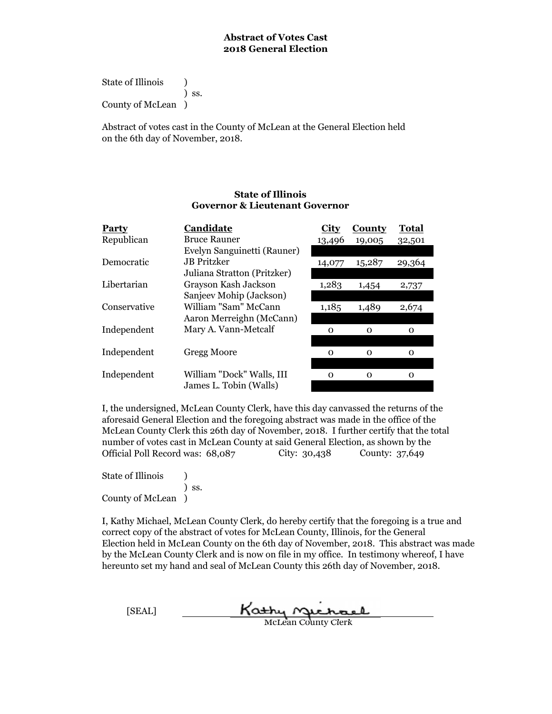State of Illinois (a) ) ss. County of McLean )

Abstract of votes cast in the County of McLean at the General Election held on the 6th day of November, 2018.

### **State of Illinois Governor & Lieutenant Governor**

| Party        | Candidate                   | City     | County   | Total  |
|--------------|-----------------------------|----------|----------|--------|
| Republican   | <b>Bruce Rauner</b>         | 13,496   | 19,005   | 32,501 |
|              | Evelyn Sanguinetti (Rauner) |          |          |        |
| Democratic   | <b>JB</b> Pritzker          | 14,077   | 15,287   | 29,364 |
|              | Juliana Stratton (Pritzker) |          |          |        |
| Libertarian  | Grayson Kash Jackson        | 1,283    | 1,454    | 2,737  |
|              | Sanjeev Mohip (Jackson)     |          |          |        |
| Conservative | William "Sam" McCann        | 1,185    | 1,489    | 2,674  |
|              | Aaron Merreighn (McCann)    |          |          |        |
| Independent  | Mary A. Vann-Metcalf        | $\Omega$ | $\Omega$ | О      |
|              |                             |          |          |        |
| Independent  | Gregg Moore                 | $\Omega$ | $\Omega$ | O      |
|              |                             |          |          |        |
| Independent  | William "Dock" Walls, III   | $\Omega$ | $\Omega$ | O      |
|              | James L. Tobin (Walls)      |          |          |        |

I, the undersigned, McLean County Clerk, have this day canvassed the returns of the aforesaid General Election and the foregoing abstract was made in the office of the McLean County Clerk this 26th day of November, 2018. I further certify that the total number of votes cast in McLean County at said General Election, as shown by the Official Poll Record was: 68,087 City: 30,438 County: 37,649

State of Illinois (1) ) ss. County of McLean )

| [SEAL] | Kathy nichael              |
|--------|----------------------------|
|        | <b>McLean County Clerk</b> |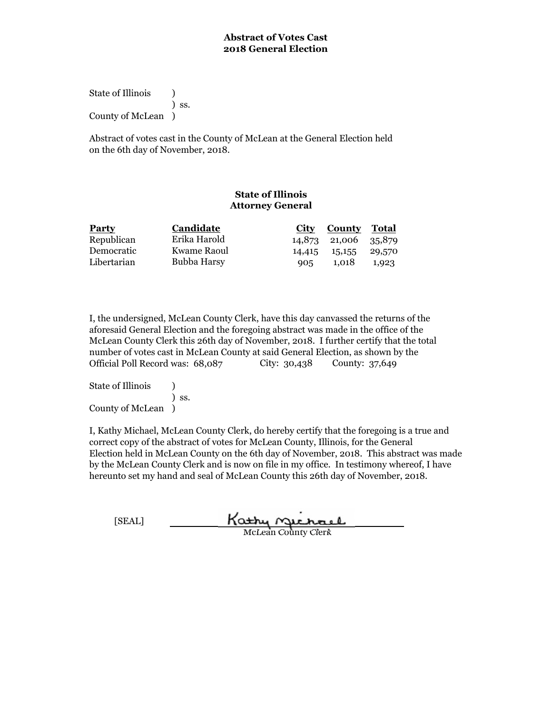State of Illinois (1) ) ss. County of McLean )

Abstract of votes cast in the County of McLean at the General Election held on the 6th day of November, 2018.

# **State of Illinois Attorney General**

| <b>Party</b> | Candidate    | City | <b>County Total</b>  |       |
|--------------|--------------|------|----------------------|-------|
| Republican   | Erika Harold |      | 14,873 21,006 35,879 |       |
| Democratic   | Kwame Raoul  |      | 14,415 15,155 29,570 |       |
| Libertarian  | Bubba Harsy  | 905  | 1,018                | 1.923 |

I, the undersigned, McLean County Clerk, have this day canvassed the returns of the aforesaid General Election and the foregoing abstract was made in the office of the McLean County Clerk this 26th day of November, 2018. I further certify that the total number of votes cast in McLean County at said General Election, as shown by the Official Poll Record was: 68,087 City: 30,438 County: 37,649

State of Illinois (a) ) ss. County of McLean )

| [SEAL] | Kathy Michael              |
|--------|----------------------------|
|        | <b>McLean County Clerk</b> |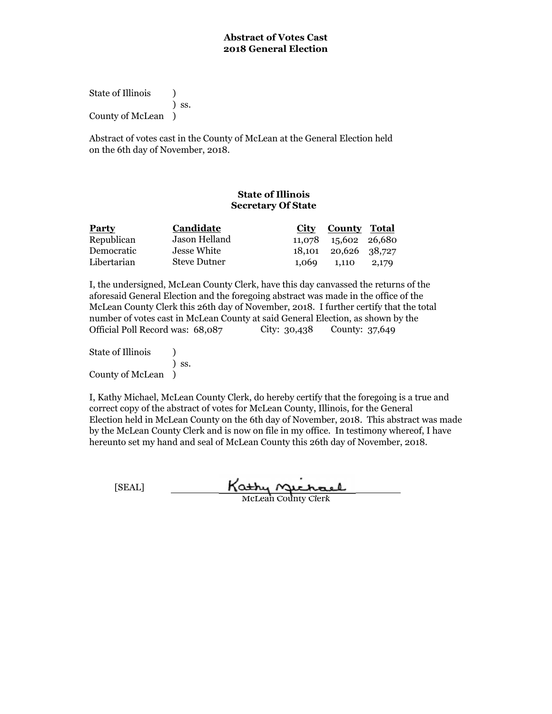State of Illinois (a) ) ss. County of McLean )

Abstract of votes cast in the County of McLean at the General Election held on the 6th day of November, 2018.

## **State of Illinois Secretary Of State**

| <b>Party</b> | <b>Candidate</b> | <b>County Total</b><br>City |
|--------------|------------------|-----------------------------|
| Republican   | Jason Helland    | 11,078 15,602 26,680        |
| Democratic   | Jesse White      | 18,101 20,626 38,727        |
| Libertarian  | Steve Dutner     | 1,069 1,110<br>2,179        |

I, the undersigned, McLean County Clerk, have this day canvassed the returns of the aforesaid General Election and the foregoing abstract was made in the office of the McLean County Clerk this 26th day of November, 2018. I further certify that the total number of votes cast in McLean County at said General Election, as shown by the Official Poll Record was: 68,087 City: 30,438 County: 37,649

State of Illinois (1) ) ss. County of McLean )

I, Kathy Michael, McLean County Clerk, do hereby certify that the foregoing is a true and correct copy of the abstract of votes for McLean County, Illinois, for the General Election held in McLean County on the 6th day of November, 2018. This abstract was made by the McLean County Clerk and is now on file in my office. In testimony whereof, I have hereunto set my hand and seal of McLean County this 26th day of November, 2018.

Kathy Michael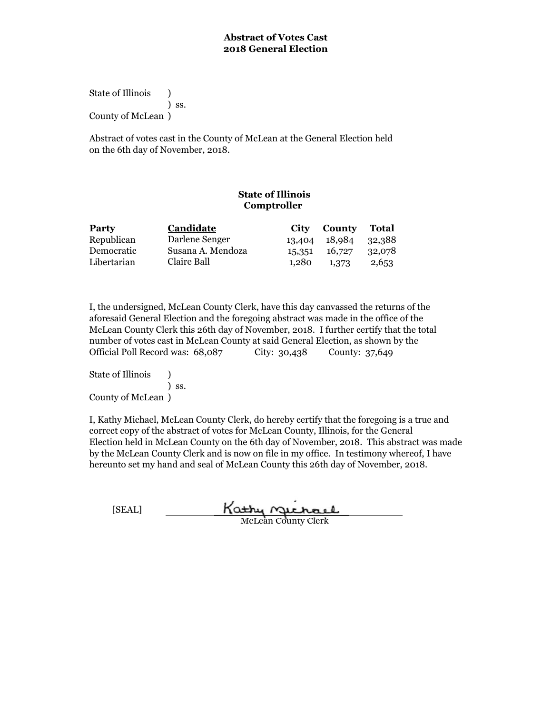State of Illinois (a) ) ss. County of McLean )

Abstract of votes cast in the County of McLean at the General Election held on the 6th day of November, 2018.

# **State of Illinois Comptroller**

| <b>Party</b> | Candidate         | City  | County               | Total  |
|--------------|-------------------|-------|----------------------|--------|
| Republican   | Darlene Senger    |       | 13,404 18,984 32,388 |        |
| Democratic   | Susana A. Mendoza |       | 15,351 16,727        | 32,078 |
| Libertarian  | Claire Ball       | 1.280 | 1,373                | 2,653  |

I, the undersigned, McLean County Clerk, have this day canvassed the returns of the aforesaid General Election and the foregoing abstract was made in the office of the McLean County Clerk this 26th day of November, 2018. I further certify that the total number of votes cast in McLean County at said General Election, as shown by the Official Poll Record was:  $68,087$  City: 30,438 County: 37,649

State of Illinois (a) ) ss. County of McLean )

| [SEAL] | Kathy nuchael              |
|--------|----------------------------|
|        | <b>McLean County Clerk</b> |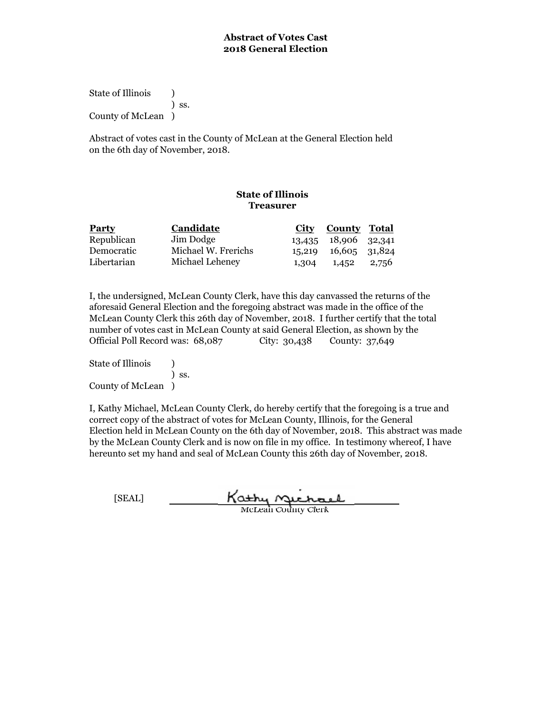State of Illinois (a) ) ss. County of McLean )

Abstract of votes cast in the County of McLean at the General Election held on the 6th day of November, 2018.

# **State of Illinois Treasurer**

| <b>Party</b> | Candidate           | City County Total       |  |
|--------------|---------------------|-------------------------|--|
| Republican   | Jim Dodge           | 13,435 18,906 32,341    |  |
| Democratic   | Michael W. Frerichs | 15,219 16,605 31,824    |  |
| Libertarian  | Michael Leheney     | $1,304$ $1,452$ $2,756$ |  |

I, the undersigned, McLean County Clerk, have this day canvassed the returns of the aforesaid General Election and the foregoing abstract was made in the office of the McLean County Clerk this 26th day of November, 2018. I further certify that the total number of votes cast in McLean County at said General Election, as shown by the Official Poll Record was: 68,087 City: 30,438 County: 37,649

State of Illinois (a) ) ss. County of McLean )

| [SEAL] | Kathy nuchael              |
|--------|----------------------------|
|        | <b>McLean County Clerk</b> |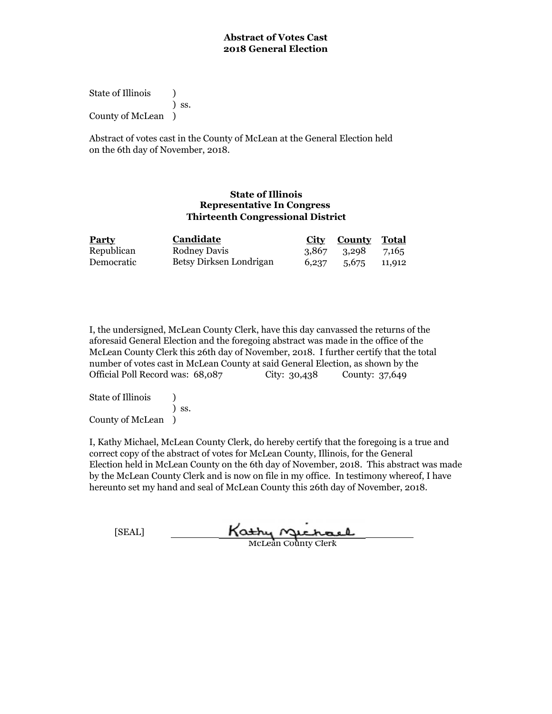State of Illinois (a) ) ss. County of McLean )

Abstract of votes cast in the County of McLean at the General Election held on the 6th day of November, 2018.

### **State of Illinois Representative In Congress Thirteenth Congressional District**

| <b>Party</b> | Candidate               | <b>City County Total</b> |  |
|--------------|-------------------------|--------------------------|--|
| Republican   | Rodney Davis            | 3,867 3,298 7,165        |  |
| Democratic   | Betsy Dirksen Londrigan | $6,237$ $5,675$ $11,912$ |  |

I, the undersigned, McLean County Clerk, have this day canvassed the returns of the aforesaid General Election and the foregoing abstract was made in the office of the McLean County Clerk this 26th day of November, 2018. I further certify that the total number of votes cast in McLean County at said General Election, as shown by the Official Poll Record was: 68,087 City: 30,438 County: 37,649

State of Illinois (a) ) ss. County of McLean )

I, Kathy Michael, McLean County Clerk, do hereby certify that the foregoing is a true and correct copy of the abstract of votes for McLean County, Illinois, for the General Election held in McLean County on the 6th day of November, 2018. This abstract was made by the McLean County Clerk and is now on file in my office. In testimony whereof, I have hereunto set my hand and seal of McLean County this 26th day of November, 2018.

<u>Kathy</u> nucha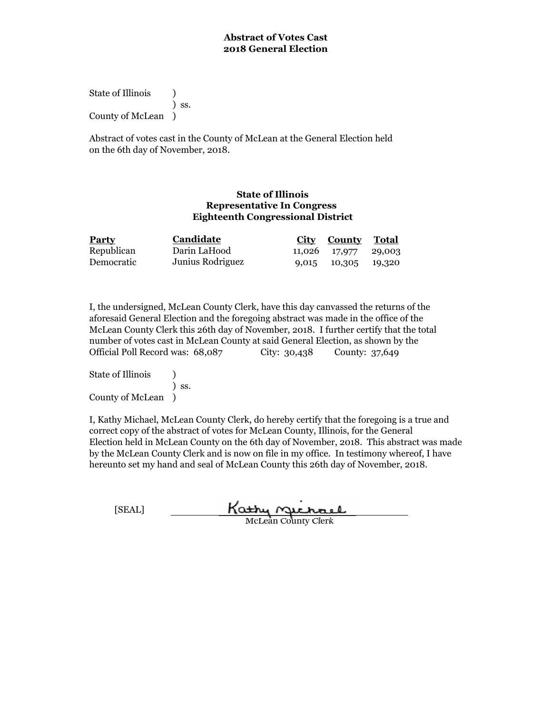State of Illinois (a) ) ss. County of McLean )

Abstract of votes cast in the County of McLean at the General Election held on the 6th day of November, 2018.

### **State of Illinois Representative In Congress Eighteenth Congressional District**

| <b>Party</b> | Candidate        | <b>City County Total</b> |  |
|--------------|------------------|--------------------------|--|
| Republican   | Darin LaHood     | 11,026 17,977 29,003     |  |
| Democratic   | Junius Rodriguez | 9,015 10,305 19,320      |  |

I, the undersigned, McLean County Clerk, have this day canvassed the returns of the aforesaid General Election and the foregoing abstract was made in the office of the McLean County Clerk this 26th day of November, 2018. I further certify that the total number of votes cast in McLean County at said General Election, as shown by the Official Poll Record was: 68,087 City: 30,438 County: 37,649

State of Illinois (a) ) ss. County of McLean )

| [SEAL] | Kathy Michael              |  |
|--------|----------------------------|--|
|        | <b>McLean County Clerk</b> |  |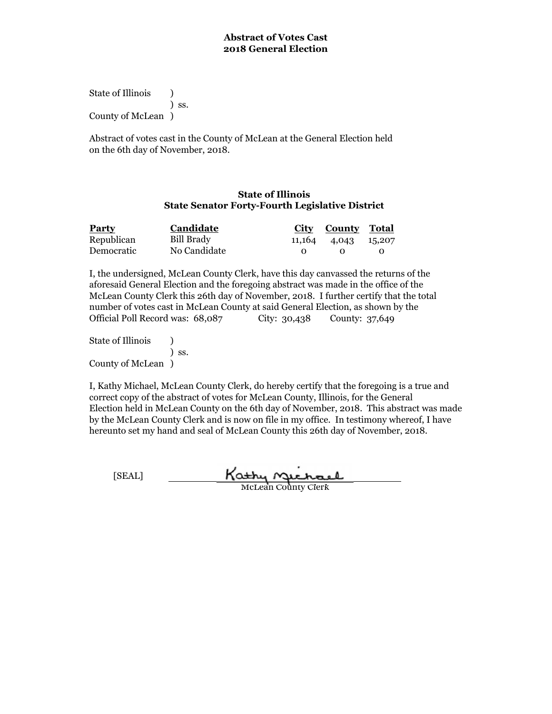State of Illinois (a) ) ss. County of McLean )

Abstract of votes cast in the County of McLean at the General Election held on the 6th day of November, 2018.

### **State of Illinois State Senator Forty-Fourth Legislative District**

| <b>Party</b> | Candidate    |                   | City County Total   |  |
|--------------|--------------|-------------------|---------------------|--|
| Republican   | Bill Brady   |                   | 11,164 4,043 15,207 |  |
| Democratic   | No Candidate | $\mathbf{\Omega}$ | - 0                 |  |

I, the undersigned, McLean County Clerk, have this day canvassed the returns of the aforesaid General Election and the foregoing abstract was made in the office of the McLean County Clerk this 26th day of November, 2018. I further certify that the total number of votes cast in McLean County at said General Election, as shown by the Official Poll Record was: 68,087 City: 30,438 County: 37,649

State of Illinois (a) ) ss. County of McLean )

I, Kathy Michael, McLean County Clerk, do hereby certify that the foregoing is a true and correct copy of the abstract of votes for McLean County, Illinois, for the General Election held in McLean County on the 6th day of November, 2018. This abstract was made by the McLean County Clerk and is now on file in my office. In testimony whereof, I have hereunto set my hand and seal of McLean County this 26th day of November, 2018.

Kathy Michael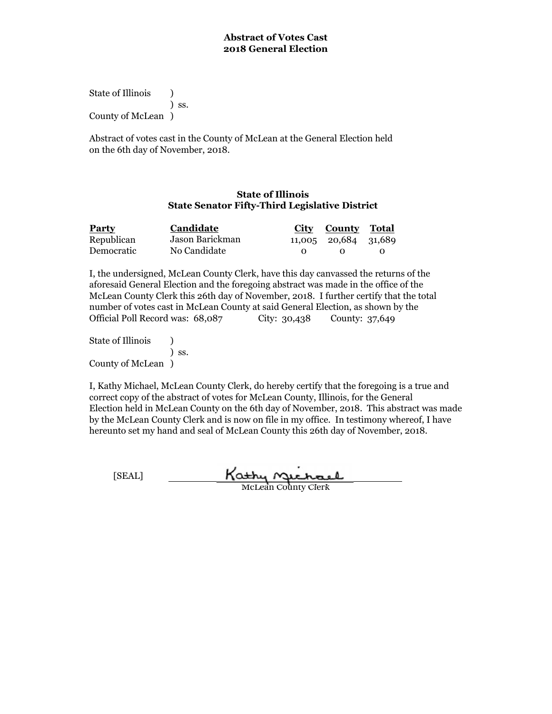State of Illinois (a) ) ss. County of McLean )

Abstract of votes cast in the County of McLean at the General Election held on the 6th day of November, 2018.

### **State of Illinois State Senator Fifty-Third Legislative District**

| <b>Party</b> | Candidate       |              | City County Total    |  |
|--------------|-----------------|--------------|----------------------|--|
| Republican   | Jason Barickman |              | 11,005 20,684 31,689 |  |
| Democratic   | No Candidate    | $\mathbf{O}$ |                      |  |

I, the undersigned, McLean County Clerk, have this day canvassed the returns of the aforesaid General Election and the foregoing abstract was made in the office of the McLean County Clerk this 26th day of November, 2018. I further certify that the total number of votes cast in McLean County at said General Election, as shown by the Official Poll Record was: 68,087 City: 30,438 County: 37,649

State of Illinois (a) ) ss. County of McLean )

I, Kathy Michael, McLean County Clerk, do hereby certify that the foregoing is a true and correct copy of the abstract of votes for McLean County, Illinois, for the General Election held in McLean County on the 6th day of November, 2018. This abstract was made by the McLean County Clerk and is now on file in my office. In testimony whereof, I have hereunto set my hand and seal of McLean County this 26th day of November, 2018.

Kathy Michael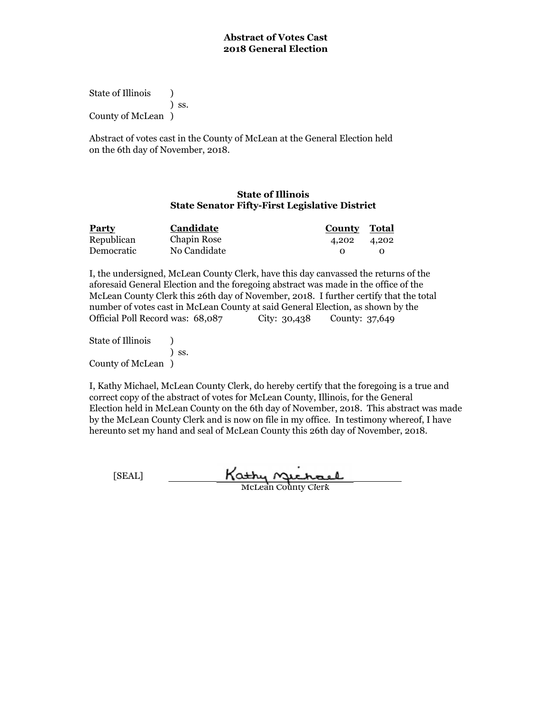State of Illinois (a) ) ss. County of McLean )

Abstract of votes cast in the County of McLean at the General Election held on the 6th day of November, 2018.

### **State of Illinois State Senator Fifty-First Legislative District**

| <b>Party</b> | Candidate    | County Total |  |
|--------------|--------------|--------------|--|
| Republican   | Chapin Rose  | 4,202 4,202  |  |
| Democratic   | No Candidate |              |  |

I, the undersigned, McLean County Clerk, have this day canvassed the returns of the aforesaid General Election and the foregoing abstract was made in the office of the McLean County Clerk this 26th day of November, 2018. I further certify that the total number of votes cast in McLean County at said General Election, as shown by the Official Poll Record was: 68,087 City: 30,438 County: 37,649

State of Illinois (a) ) ss. County of McLean )

I, Kathy Michael, McLean County Clerk, do hereby certify that the foregoing is a true and correct copy of the abstract of votes for McLean County, Illinois, for the General Election held in McLean County on the 6th day of November, 2018. This abstract was made by the McLean County Clerk and is now on file in my office. In testimony whereof, I have hereunto set my hand and seal of McLean County this 26th day of November, 2018.

Kathy **Michael**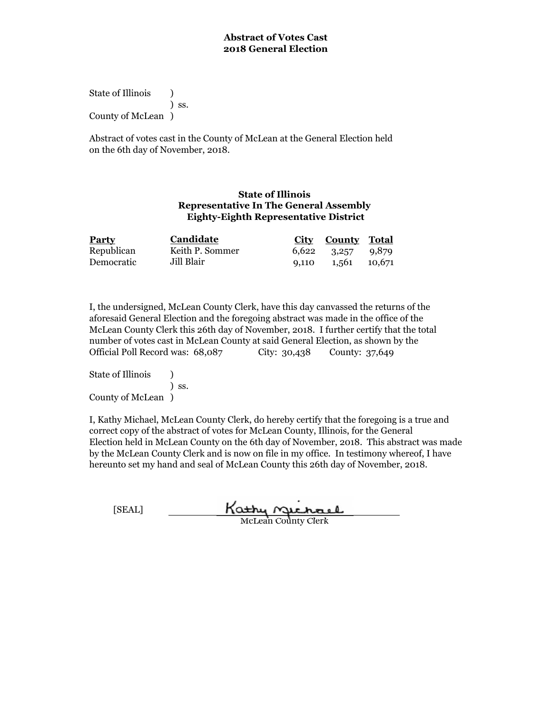State of Illinois (a) ) ss. County of McLean )

Abstract of votes cast in the County of McLean at the General Election held on the 6th day of November, 2018.

## **State of Illinois Representative In The General Assembly Eighty-Eighth Representative District**

| <b>Party</b> | Candidate       |       | <b>City County Total</b> |  |
|--------------|-----------------|-------|--------------------------|--|
| Republican   | Keith P. Sommer |       | $6,622$ $3,257$ $9,879$  |  |
| Democratic   | Jill Blair      | 9.110 | 1,561 10,671             |  |

I, the undersigned, McLean County Clerk, have this day canvassed the returns of the aforesaid General Election and the foregoing abstract was made in the office of the McLean County Clerk this 26th day of November, 2018. I further certify that the total number of votes cast in McLean County at said General Election, as shown by the Official Poll Record was: 68,087 City: 30,438 County: 37,649

State of Illinois (a) ) ss. County of McLean )

I, Kathy Michael, McLean County Clerk, do hereby certify that the foregoing is a true and correct copy of the abstract of votes for McLean County, Illinois, for the General Election held in McLean County on the 6th day of November, 2018. This abstract was made by the McLean County Clerk and is now on file in my office. In testimony whereof, I have hereunto set my hand and seal of McLean County this 26th day of November, 2018.

| [SEAL] | Kathy Gichael       |  |
|--------|---------------------|--|
|        | McLean County Clerk |  |

McLean County Clerk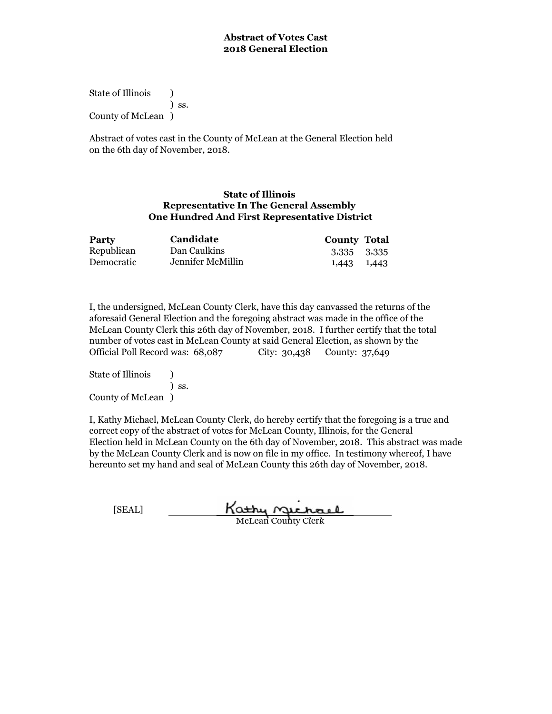State of Illinois (a) ) ss. County of McLean )

Abstract of votes cast in the County of McLean at the General Election held on the 6th day of November, 2018.

### **State of Illinois Representative In The General Assembly One Hundred And First Representative District**

| <b>Party</b> | <b>Candidate</b>  | <b>County Total</b> |       |
|--------------|-------------------|---------------------|-------|
| Republican   | Dan Caulkins      | 3,335 3,335         |       |
| Democratic   | Jennifer McMillin | 1,443               | 1,443 |

I, the undersigned, McLean County Clerk, have this day canvassed the returns of the aforesaid General Election and the foregoing abstract was made in the office of the McLean County Clerk this 26th day of November, 2018. I further certify that the total number of votes cast in McLean County at said General Election, as shown by the Official Poll Record was: 68,087 City: 30,438 County: 37,649

State of Illinois (a) ) ss. County of McLean )

| [SEAL] | Kathy nuchael              |
|--------|----------------------------|
|        | <b>McLean County Clerk</b> |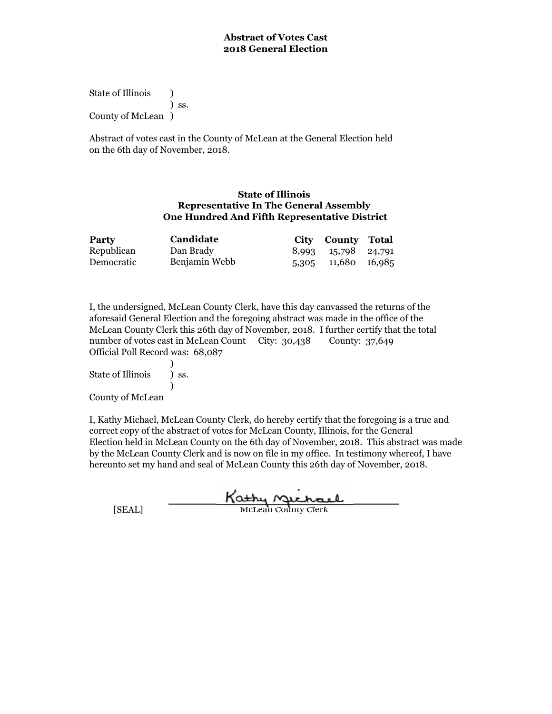State of Illinois (a) ) ss. County of McLean )

Abstract of votes cast in the County of McLean at the General Election held on the 6th day of November, 2018.

### **State of Illinois Representative In The General Assembly One Hundred And Fifth Representative District**

| <b>Party</b> | Candidate     | <b>City County Total</b> |  |
|--------------|---------------|--------------------------|--|
| Republican   | Dan Brady     | 8,993 15,798 24,791      |  |
| Democratic   | Benjamin Webb | 5,305 11,680 16,985      |  |

I, the undersigned, McLean County Clerk, have this day canvassed the returns of the aforesaid General Election and the foregoing abstract was made in the office of the McLean County Clerk this 26th day of November, 2018. I further certify that the total number of votes cast in McLean Count City: 30,438 Official Poll Record was: 68,087 County: 37,649

) State of Illinois (b) ss.

)

County of McLean

|        | Kathy nuchael              |
|--------|----------------------------|
| [SEAL] | <b>McLean County Clerk</b> |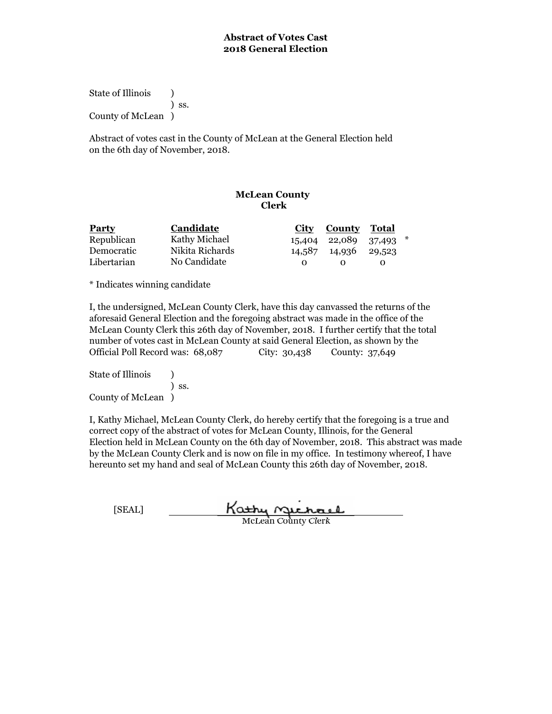State of Illinois (b) ) ss. County of McLean )

Abstract of votes cast in the County of McLean at the General Election held on the 6th day of November, 2018.

# **McLean County Clerk**

| <b>Party</b> | <b>Candidate</b> | City County Total    |                        |  |
|--------------|------------------|----------------------|------------------------|--|
| Republican   | Kathy Michael    |                      | 15,404 22,089 37,493 * |  |
| Democratic   | Nikita Richards  | 14,587 14,936 29,523 |                        |  |
| Libertarian  | No Candidate     |                      |                        |  |

\* Indicates winning candidate

I, the undersigned, McLean County Clerk, have this day canvassed the returns of the aforesaid General Election and the foregoing abstract was made in the office of the McLean County Clerk this 26th day of November, 2018. I further certify that the total number of votes cast in McLean County at said General Election, as shown by the Official Poll Record was: 68,087 City: 30,438 County: 37,649

State of Illinois (b) ) ss. County of McLean )

| [SEAL] | Kathy nuchael              |
|--------|----------------------------|
|        | <b>McLean County Clerk</b> |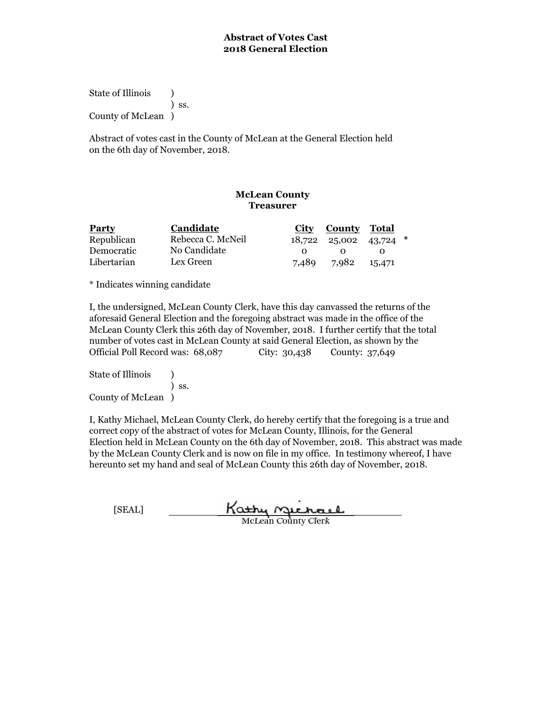State of Illinois (b) ) ss. County of McLean )

Abstract of votes cast in the County of McLean at the General Election held on the 6th day of November, 2018.

# **McLean County Treasurer**

| <b>Party</b> | Candidate         |       | City County Total            |        |  |
|--------------|-------------------|-------|------------------------------|--------|--|
| Republican   | Rebecca C. McNeil |       | $18,722$ $25,002$ $43,724$ * |        |  |
| Democratic   | No Candidate      |       |                              |        |  |
| Libertarian  | Lex Green         | 7.489 | 7.982                        | 15,471 |  |

\* Indicates winning candidate

I, the undersigned, McLean County Clerk, have this day canvassed the returns of the aforesaid General Election and the foregoing abstract was made in the office of the McLean County Clerk this 26th day of November, 2018. I further certify that the total number of votes cast in McLean County at said General Election, as shown by the Official Poll Record was: 68,087 City: 30,438 County: 37,649

State of Illinois (b) ) ss. County of McLean )

| [SEAL] | Kathy nuchael              |
|--------|----------------------------|
|        | <b>McLean County Clerk</b> |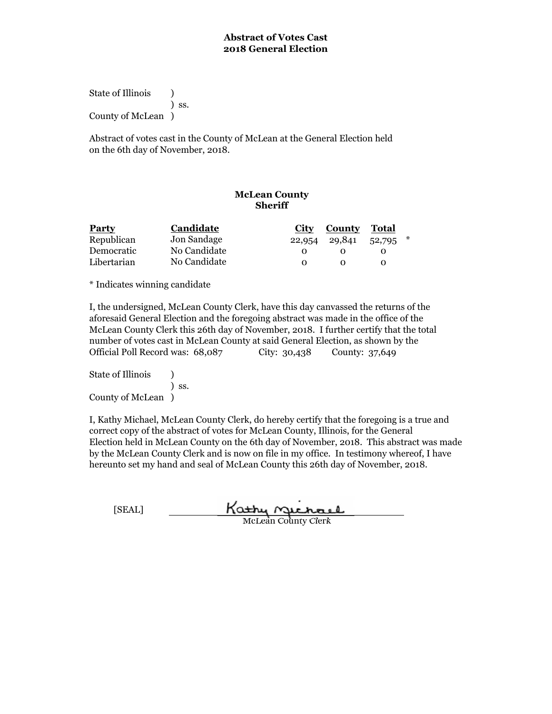State of Illinois (b) ) ss. County of McLean )

Abstract of votes cast in the County of McLean at the General Election held on the 6th day of November, 2018.

# **McLean County Sheriff**

| <b>Party</b> | Candidate    | City   | County | Total  |        |
|--------------|--------------|--------|--------|--------|--------|
| Republican   | Jon Sandage  | 22,954 | 29,841 | 52,795 | $\ast$ |
| Democratic   | No Candidate |        |        |        |        |
| Libertarian  | No Candidate |        |        |        |        |

\* Indicates winning candidate

I, the undersigned, McLean County Clerk, have this day canvassed the returns of the aforesaid General Election and the foregoing abstract was made in the office of the McLean County Clerk this 26th day of November, 2018. I further certify that the total number of votes cast in McLean County at said General Election, as shown by the Official Poll Record was: 68,087 City: 30,438 County: 37,649

State of Illinois (1) ) ss. County of McLean )

| [SEAL] | Kathy nuchael              |  |
|--------|----------------------------|--|
|        | <b>McLean County Clerk</b> |  |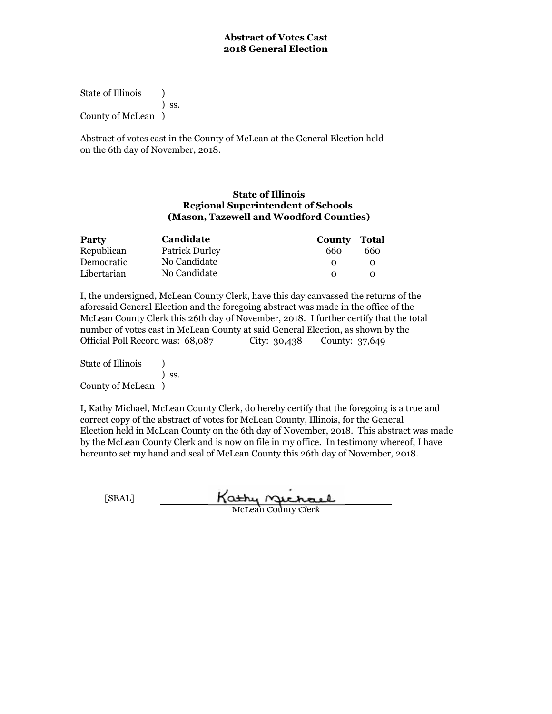State of Illinois (a) ) ss. County of McLean )

Abstract of votes cast in the County of McLean at the General Election held on the 6th day of November, 2018.

### **State of Illinois Regional Superintendent of Schools (Mason, Tazewell and Woodford Counties)**

| <b>Party</b> | Candidate             | <b>County Total</b> |     |
|--------------|-----------------------|---------------------|-----|
| Republican   | <b>Patrick Durley</b> | 660                 | 660 |
| Democratic   | No Candidate          |                     |     |
| Libertarian  | No Candidate          |                     |     |

I, the undersigned, McLean County Clerk, have this day canvassed the returns of the aforesaid General Election and the foregoing abstract was made in the office of the McLean County Clerk this 26th day of November, 2018. I further certify that the total number of votes cast in McLean County at said General Election, as shown by the Official Poll Record was: 68,087 City: 30,438 County: 37,649

State of Illinois (a) ) ss. County of McLean )

| [SEAL] | Kathy nichael              |
|--------|----------------------------|
|        | <b>McLean County Clerk</b> |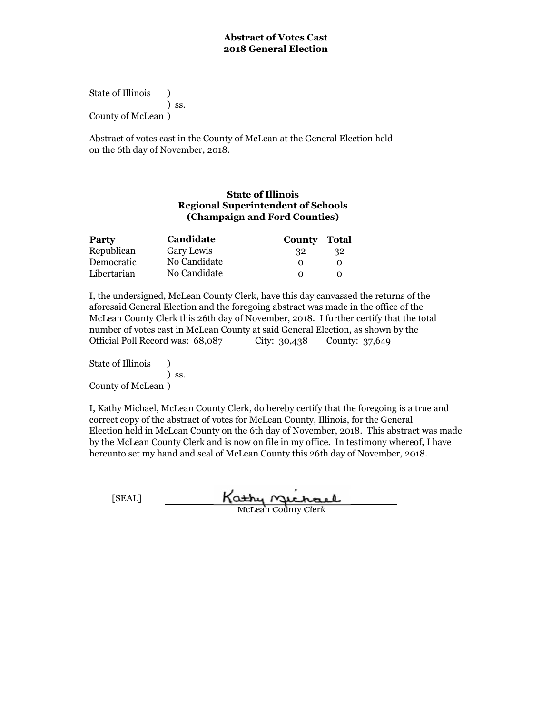State of Illinois (a) ) ss. County of McLean )

Abstract of votes cast in the County of McLean at the General Election held on the 6th day of November, 2018.

## **State of Illinois Regional Superintendent of Schools (Champaign and Ford Counties)**

| <b>Party</b> | Candidate    | County Total      |     |
|--------------|--------------|-------------------|-----|
| Republican   | Gary Lewis   | -32               | -32 |
| Democratic   | No Candidate | $\mathbf{\Omega}$ |     |
| Libertarian  | No Candidate |                   |     |

I, the undersigned, McLean County Clerk, have this day canvassed the returns of the aforesaid General Election and the foregoing abstract was made in the office of the McLean County Clerk this 26th day of November, 2018. I further certify that the total number of votes cast in McLean County at said General Election, as shown by the Official Poll Record was: 68,087 City: 30,438 County: 37,649

State of Illinois (a) ) ss. County of McLean )

| [SEAL] | Kathy Sichael              |
|--------|----------------------------|
|        | <b>McLean County Clerk</b> |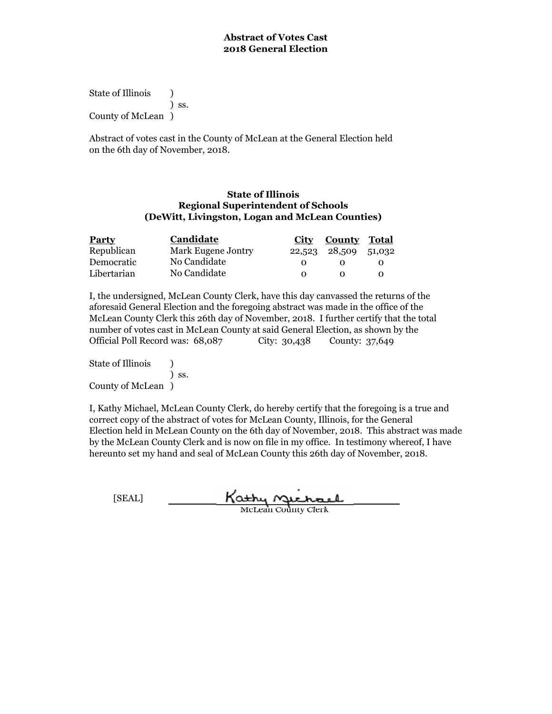State of Illinois (a) ) ss. County of McLean )

Abstract of votes cast in the County of McLean at the General Election held on the 6th day of November, 2018.

### **State of Illinois (DeWitt, Livingston, Logan and McLean Counties) Regional Superintendent of Schools**

| <b>Party</b> | Candidate          | City | <b>County Total</b>  |  |
|--------------|--------------------|------|----------------------|--|
| Republican   | Mark Eugene Jontry |      | 22,523 28,509 51,032 |  |
| Democratic   | No Candidate       |      |                      |  |
| Libertarian  | No Candidate       |      |                      |  |

I, the undersigned, McLean County Clerk, have this day canvassed the returns of the aforesaid General Election and the foregoing abstract was made in the office of the McLean County Clerk this 26th day of November, 2018. I further certify that the total number of votes cast in McLean County at said General Election, as shown by the Official Poll Record was: 68,087 City: 30,438 County: 37,649

State of Illinois (a) ) ss. County of McLean )

| [SEAL] | Kathy nuchael              |
|--------|----------------------------|
|        | <b>McLean County Clerk</b> |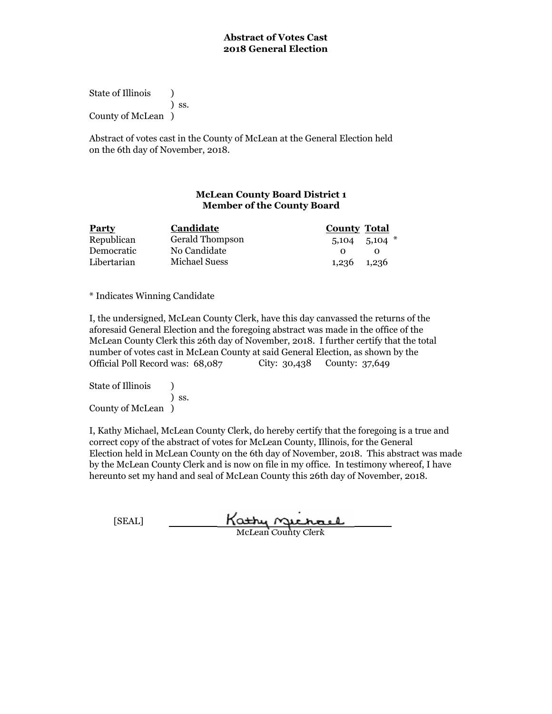State of Illinois (1) ) ss. County of McLean )

Abstract of votes cast in the County of McLean at the General Election held on the 6th day of November, 2018.

# **McLean County Board District 1 Member of the County Board**

| <b>Party</b> | Candidate              | <b>County Total</b> |
|--------------|------------------------|---------------------|
| Republican   | <b>Gerald Thompson</b> | $5,104$ $5,104$ $*$ |
| Democratic   | No Candidate           |                     |
| Libertarian  | Michael Suess          | 1,236 1,236         |

\* Indicates Winning Candidate

I, the undersigned, McLean County Clerk, have this day canvassed the returns of the aforesaid General Election and the foregoing abstract was made in the office of the McLean County Clerk this 26th day of November, 2018. I further certify that the total number of votes cast in McLean County at said General Election, as shown by the Official Poll Record was:  $68,087$  City: 30,438 County: 37,649

State of Illinois (a) ) ss. County of McLean )

| [SEAL] | Kathy nuchael              |
|--------|----------------------------|
|        | <b>McLean County Clerk</b> |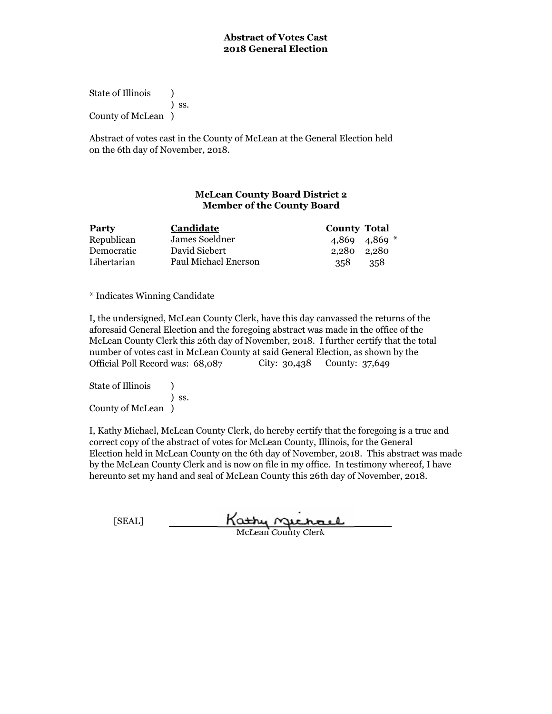State of Illinois (1) ) ss. County of McLean )

Abstract of votes cast in the County of McLean at the General Election held on the 6th day of November, 2018.

## **McLean County Board District 2 Member of the County Board**

| Party       | Candidate            | <b>County Total</b> |
|-------------|----------------------|---------------------|
| Republican  | James Soeldner       | $4,869$ $4,869$ $*$ |
| Democratic  | David Siebert        | 2.280 2.280         |
| Libertarian | Paul Michael Enerson | 358<br>-358         |

\* Indicates Winning Candidate

I, the undersigned, McLean County Clerk, have this day canvassed the returns of the aforesaid General Election and the foregoing abstract was made in the office of the McLean County Clerk this 26th day of November, 2018. I further certify that the total number of votes cast in McLean County at said General Election, as shown by the Official Poll Record was: 68,087 City: 30,438 County: 37,649

State of Illinois (a) ) ss. County of McLean )

| [SEAL] | Kathy nuchael              |
|--------|----------------------------|
|        | <b>McLean County Clerk</b> |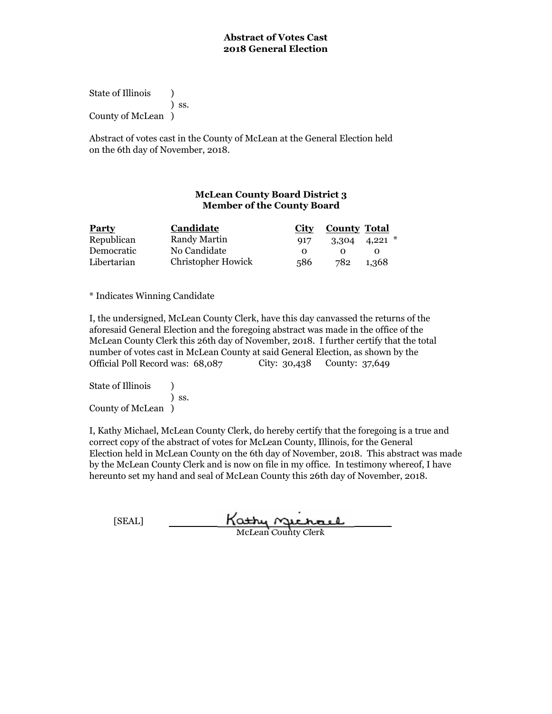State of Illinois (1) ) ss. County of McLean )

Abstract of votes cast in the County of McLean at the General Election held on the 6th day of November, 2018.

# **McLean County Board District 3 Member of the County Board**

| <b>Party</b> | Candidate                 | City         | <b>County Total</b> |                   |
|--------------|---------------------------|--------------|---------------------|-------------------|
| Republican   | Randy Martin              | 917          |                     | $3,304$ 4,221 $*$ |
| Democratic   | No Candidate              | <sup>o</sup> |                     |                   |
| Libertarian  | <b>Christopher Howick</b> | 586          | 782                 | 1,368             |

\* Indicates Winning Candidate

I, the undersigned, McLean County Clerk, have this day canvassed the returns of the aforesaid General Election and the foregoing abstract was made in the office of the McLean County Clerk this 26th day of November, 2018. I further certify that the total number of votes cast in McLean County at said General Election, as shown by the Official Poll Record was:  $68,087$  City: 30,438 County: 37,649

State of Illinois (a) ) ss. County of McLean )

| [SEAL] | Kathy nuchael              |
|--------|----------------------------|
|        | <b>McLean County Clerk</b> |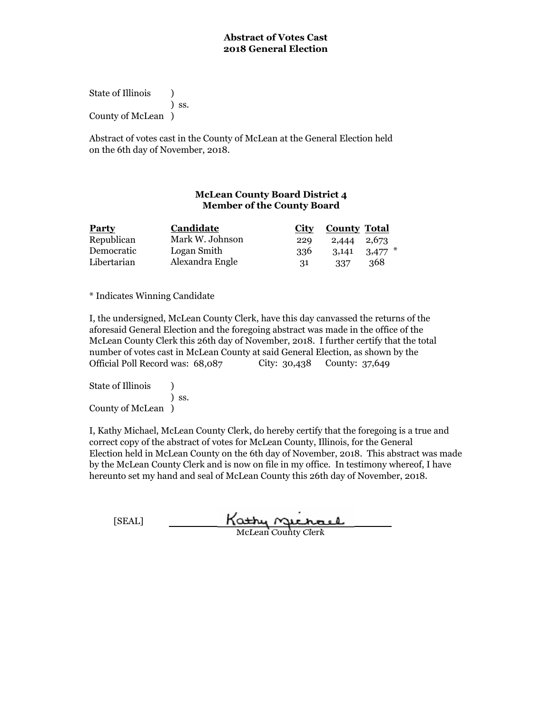State of Illinois (1) ) ss. County of McLean )

Abstract of votes cast in the County of McLean at the General Election held on the 6th day of November, 2018.

# **McLean County Board District 4 Member of the County Board**

| <b>Party</b> | Candidate       |     | City County Total |                   |
|--------------|-----------------|-----|-------------------|-------------------|
| Republican   | Mark W. Johnson | 229 | 2,444 2,673       |                   |
| Democratic   | Logan Smith     | 336 |                   | $3,141$ $3,477$ * |
| Libertarian  | Alexandra Engle | 31  | 337               | 368               |

\* Indicates Winning Candidate

I, the undersigned, McLean County Clerk, have this day canvassed the returns of the aforesaid General Election and the foregoing abstract was made in the office of the McLean County Clerk this 26th day of November, 2018. I further certify that the total number of votes cast in McLean County at said General Election, as shown by the Official Poll Record was: 68,087 City: 30,438 County: 37,649

State of Illinois (a) ) ss. County of McLean )

| [SEAL] | Kathy Michael              |
|--------|----------------------------|
|        | <b>McLean County Clerk</b> |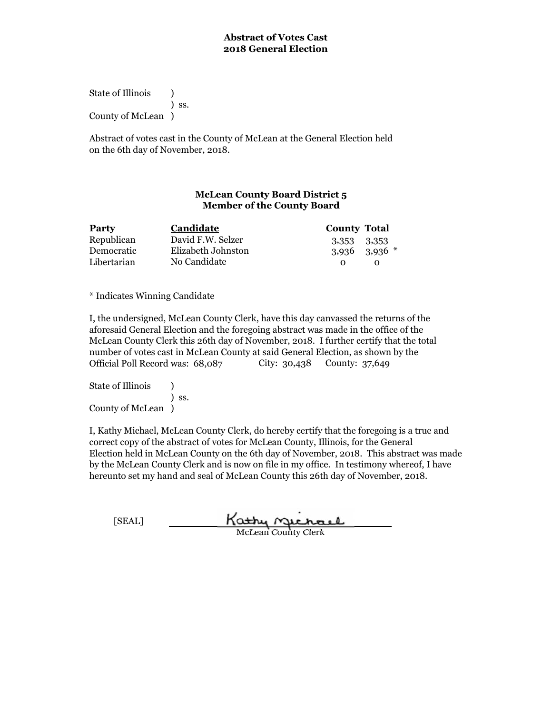State of Illinois (1) ) ss. County of McLean )

Abstract of votes cast in the County of McLean at the General Election held on the 6th day of November, 2018.

# **McLean County Board District 5 Member of the County Board**

| <b>Party</b> | Candidate          | <b>County Total</b> |
|--------------|--------------------|---------------------|
| Republican   | David F.W. Selzer  | 3,353 3,353         |
| Democratic   | Elizabeth Johnston | $3,936$ $3,936$ $*$ |
| Libertarian  | No Candidate       |                     |

\* Indicates Winning Candidate

I, the undersigned, McLean County Clerk, have this day canvassed the returns of the aforesaid General Election and the foregoing abstract was made in the office of the McLean County Clerk this 26th day of November, 2018. I further certify that the total number of votes cast in McLean County at said General Election, as shown by the Official Poll Record was:  $68,087$  City: 30,438 County: 37,649

State of Illinois (a) ) ss. County of McLean )

| [SEAL] | Kathy Sichael              |
|--------|----------------------------|
|        | <b>McLean County Clerk</b> |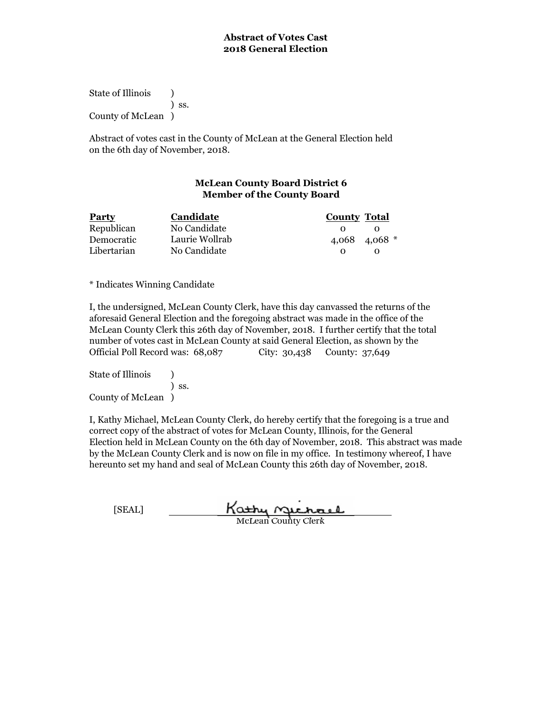State of Illinois (a) ) ss. County of McLean )

Abstract of votes cast in the County of McLean at the General Election held on the 6th day of November, 2018.

# **McLean County Board District 6 Member of the County Board**

| <b>Party</b> | Candidate      | <b>County Total</b> |
|--------------|----------------|---------------------|
| Republican   | No Candidate   |                     |
| Democratic   | Laurie Wollrab | 4,068 4,068 $*$     |
| Libertarian  | No Candidate   | $\mathbf{O}$        |

\* Indicates Winning Candidate

I, the undersigned, McLean County Clerk, have this day canvassed the returns of the aforesaid General Election and the foregoing abstract was made in the office of the McLean County Clerk this 26th day of November, 2018. I further certify that the total number of votes cast in McLean County at said General Election, as shown by the Official Poll Record was: 68,087 City: 30,438 County: 37,649

State of Illinois (a) ) ss. County of McLean )

| [SEAL] | Kathy nuchael              |
|--------|----------------------------|
|        | <b>McLean County Clerk</b> |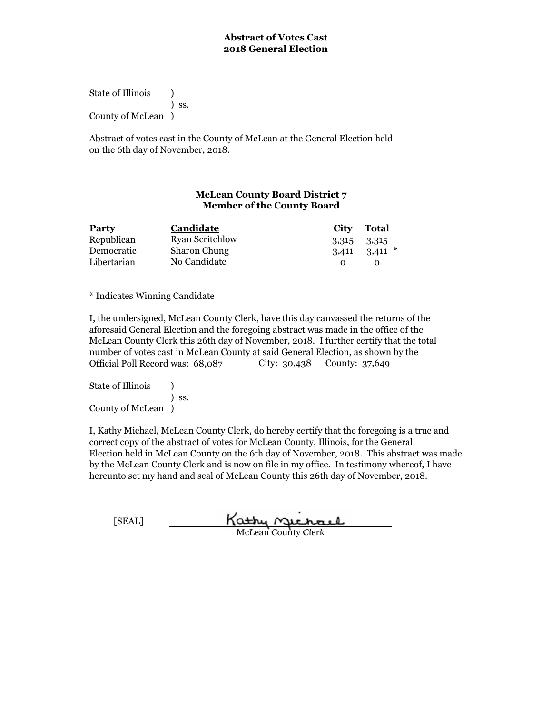State of Illinois (1) ) ss. County of McLean )

Abstract of votes cast in the County of McLean at the General Election held on the 6th day of November, 2018.

# **McLean County Board District 7 Member of the County Board**

| <b>Party</b> | Candidate              | City        | Total               |
|--------------|------------------------|-------------|---------------------|
| Republican   | <b>Ryan Scritchlow</b> | 3,315 3,315 |                     |
| Democratic   | <b>Sharon Chung</b>    |             | $3,411$ $3,411$ $*$ |
| Libertarian  | No Candidate           |             |                     |

\* Indicates Winning Candidate

I, the undersigned, McLean County Clerk, have this day canvassed the returns of the aforesaid General Election and the foregoing abstract was made in the office of the McLean County Clerk this 26th day of November, 2018. I further certify that the total number of votes cast in McLean County at said General Election, as shown by the Official Poll Record was: 68,087 City: 30,438 County: 37,649

State of Illinois (a) ) ss. County of McLean )

| [SEAL] | Kathy nichael              |
|--------|----------------------------|
|        | <b>McLean County Clerk</b> |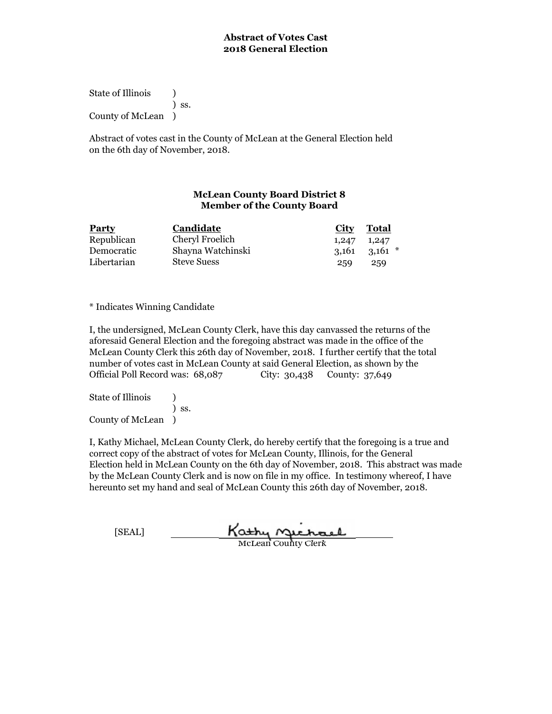State of Illinois (a) ) ss. County of McLean )

Abstract of votes cast in the County of McLean at the General Election held on the 6th day of November, 2018.

## **McLean County Board District 8 Member of the County Board**

| <b>Party</b> | Candidate          | City  | Total               |
|--------------|--------------------|-------|---------------------|
| Republican   | Cheryl Froelich    | 1,247 | 1,247               |
| Democratic   | Shayna Watchinski  |       | $3,161$ $3,161$ $*$ |
| Libertarian  | <b>Steve Suess</b> | 259   | 259                 |

\* Indicates Winning Candidate

I, the undersigned, McLean County Clerk, have this day canvassed the returns of the aforesaid General Election and the foregoing abstract was made in the office of the McLean County Clerk this 26th day of November, 2018. I further certify that the total number of votes cast in McLean County at said General Election, as shown by the Official Poll Record was: 68,087 City: 30,438 County: 37,649

State of Illinois (a) ) ss. County of McLean )

| [SEAL] | Kathy Michael              |  |
|--------|----------------------------|--|
|        | <b>McLean County Clerk</b> |  |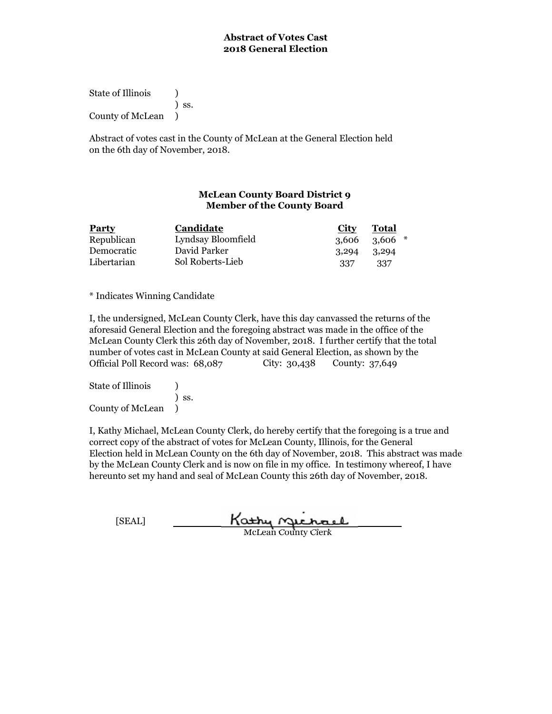State of Illinois (1) ) ss. County of McLean )

Abstract of votes cast in the County of McLean at the General Election held on the 6th day of November, 2018.

## **McLean County Board District 9 Member of the County Board**

| <b>Party</b> | Candidate          | City  | Total    |
|--------------|--------------------|-------|----------|
| Republican   | Lyndsay Bloomfield | 3.606 | $3.606*$ |
| Democratic   | David Parker       | 3,294 | 3,294    |
| Libertarian  | Sol Roberts-Lieb   | 337   | -337     |

\* Indicates Winning Candidate

I, the undersigned, McLean County Clerk, have this day canvassed the returns of the aforesaid General Election and the foregoing abstract was made in the office of the McLean County Clerk this 26th day of November, 2018. I further certify that the total number of votes cast in McLean County at said General Election, as shown by the Official Poll Record was: 68,087 City: 30,438 County: 37,649

State of Illinois (1) ) ss. County of McLean )

| [SEAL] | Kathy nuchael              |
|--------|----------------------------|
|        | <b>McLean County Clerk</b> |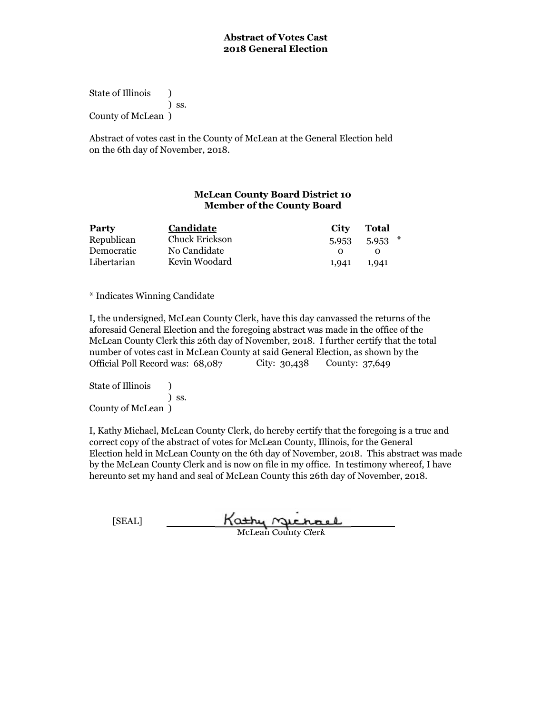State of Illinois (a) ) ss. County of McLean )

Abstract of votes cast in the County of McLean at the General Election held on the 6th day of November, 2018.

## **McLean County Board District 10 Member of the County Board**

| Party       | Candidate      | City  | Total |
|-------------|----------------|-------|-------|
| Republican  | Chuck Erickson | 5,953 | 5,953 |
| Democratic  | No Candidate   |       |       |
| Libertarian | Kevin Woodard  | 1,941 | 1,941 |

\* Indicates Winning Candidate

I, the undersigned, McLean County Clerk, have this day canvassed the returns of the aforesaid General Election and the foregoing abstract was made in the office of the McLean County Clerk this 26th day of November, 2018. I further certify that the total number of votes cast in McLean County at said General Election, as shown by the Official Poll Record was: 68,087 City: 30,438 County: 37,649

State of Illinois (a) ) ss. County of McLean )

| [SEAL] | Kathy nuchael              |
|--------|----------------------------|
|        | <b>McLean County Clerk</b> |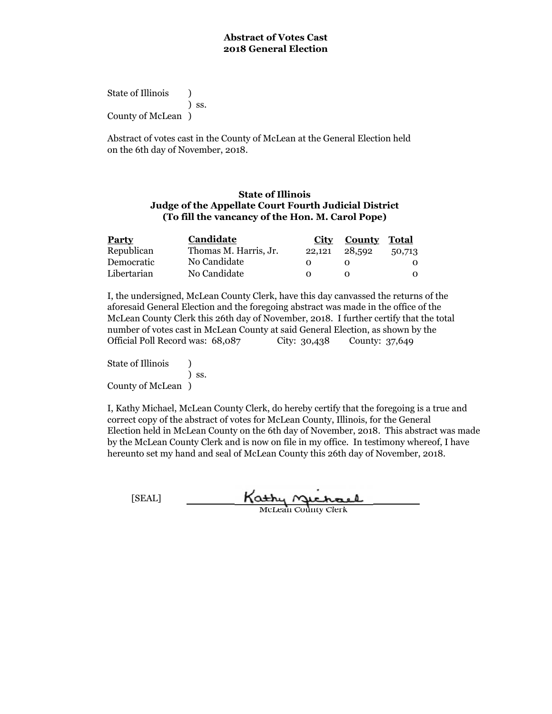State of Illinois (b) ) ss. County of McLean )

Abstract of votes cast in the County of McLean at the General Election held on the 6th day of November, 2018.

### **State of Illinois Judge of the Appellate Court Fourth Judicial District (To fill the vancancy of the Hon. M. Carol Pope)**

| <b>Party</b> | <b>Candidate</b>      | City   | <b>County Total</b> |        |
|--------------|-----------------------|--------|---------------------|--------|
| Republican   | Thomas M. Harris, Jr. | 22,121 | 28,592              | 50,713 |
| Democratic   | No Candidate          |        |                     |        |
| Libertarian  | No Candidate          |        |                     |        |

I, the undersigned, McLean County Clerk, have this day canvassed the returns of the aforesaid General Election and the foregoing abstract was made in the office of the McLean County Clerk this 26th day of November, 2018. I further certify that the total number of votes cast in McLean County at said General Election, as shown by the Official Poll Record was: 68,087 City: 30,438 County: 37,649

State of Illinois (b) ) ss. County of McLean )

| [SEAL] | Kathy nichael              |
|--------|----------------------------|
|        | <b>McLean County Clerk</b> |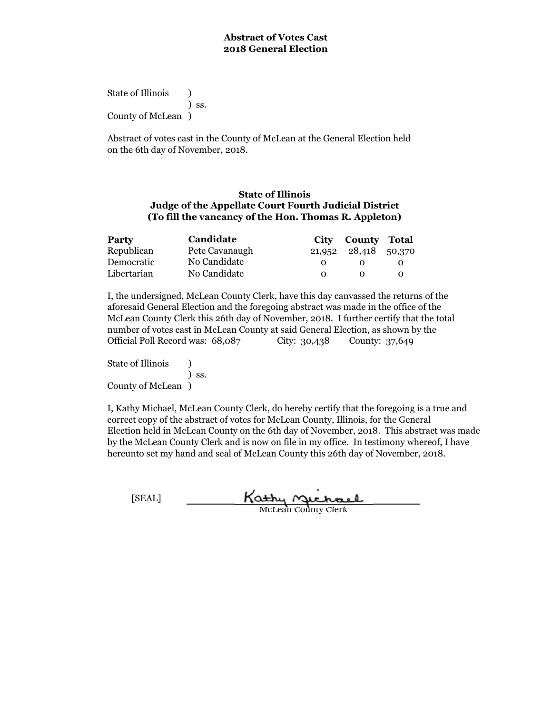State of Illinois (b) ) ss. County of McLean )

Abstract of votes cast in the County of McLean at the General Election held on the 6th day of November, 2018.

### **State of Illinois Judge of the Appellate Court Fourth Judicial District (To fill the vancancy of the Hon. Thomas R. Appleton)**

| <b>Party</b> | Candidate      | City     | <b>County Total</b>  |  |
|--------------|----------------|----------|----------------------|--|
| Republican   | Pete Cavanaugh |          | 21,952 28,418 50,370 |  |
| Democratic   | No Candidate   |          |                      |  |
| Libertarian  | No Candidate   | $\Omega$ |                      |  |

I, the undersigned, McLean County Clerk, have this day canvassed the returns of the aforesaid General Election and the foregoing abstract was made in the office of the McLean County Clerk this 26th day of November, 2018. I further certify that the total number of votes cast in McLean County at said General Election, as shown by the Official Poll Record was: 68,087 City: 30,438 County: 37,649

State of Illinois (b) ) ss. County of McLean )

| [SEAL] | Kathy nichael              |
|--------|----------------------------|
|        | <b>McLean County Clerk</b> |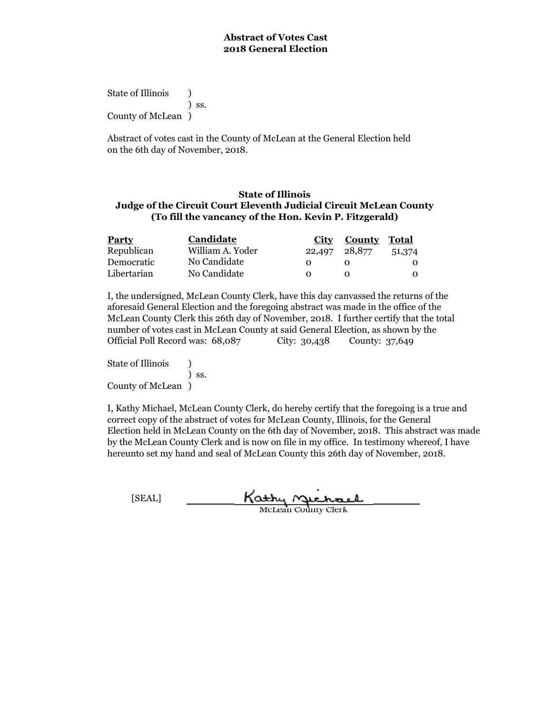State of Illinois (b) ) ss. County of McLean )

Abstract of votes cast in the County of McLean at the General Election held on the 6th day of November, 2018.

### **State of Illinois Judge of the Circuit Court Eleventh Judicial Circuit McLean County (To fill the vancancy of the Hon. Kevin P. Fitzgerald)**

| <b>Party</b> | <b>Candidate</b> | City   | <b>County Total</b> |        |
|--------------|------------------|--------|---------------------|--------|
| Republican   | William A. Yoder | 22,497 | 28,877              | 51,374 |
| Democratic   | No Candidate     |        |                     |        |
| Libertarian  | No Candidate     |        |                     | O      |

I, the undersigned, McLean County Clerk, have this day canvassed the returns of the aforesaid General Election and the foregoing abstract was made in the office of the McLean County Clerk this 26th day of November, 2018. I further certify that the total number of votes cast in McLean County at said General Election, as shown by the Official Poll Record was: 68,087 City: 30,438 County: 37,649

State of Illinois (b) ) ss. County of McLean )

| [SEAL] | Kathy nichael              |
|--------|----------------------------|
|        | <b>McLean County Clerk</b> |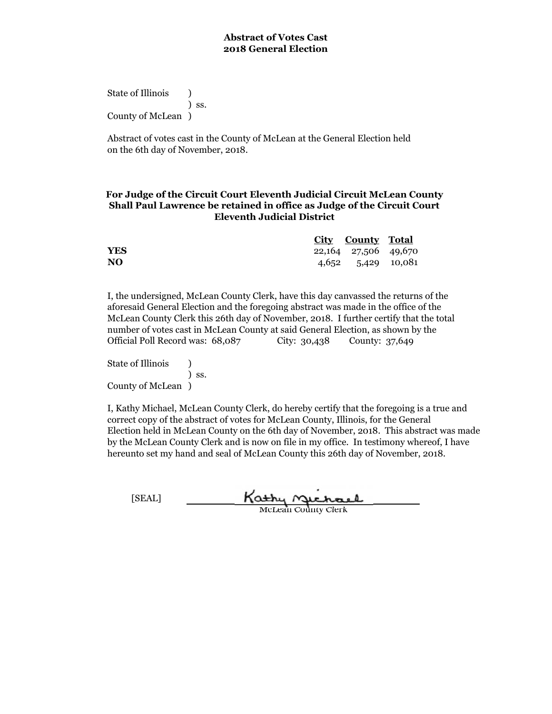State of Illinois (b) ) ss. County of McLean )

Abstract of votes cast in the County of McLean at the General Election held on the 6th day of November, 2018.

## **Shall Paul Lawrence be retained in office as Judge of the Circuit Court Eleventh Judicial District For Judge of the Circuit Court Eleventh Judicial Circuit McLean County**

|                | City County Total    |  |
|----------------|----------------------|--|
| <b>YES</b>     | 22,164 27,506 49,670 |  |
| N <sub>O</sub> | 4,652 5,429 10,081   |  |

I, the undersigned, McLean County Clerk, have this day canvassed the returns of the aforesaid General Election and the foregoing abstract was made in the office of the McLean County Clerk this 26th day of November, 2018. I further certify that the total number of votes cast in McLean County at said General Election, as shown by the Official Poll Record was: 68,087 City: 30,438 County: 37,649

State of Illinois (b) ) ss. County of McLean )

| [SEAL] | Kathy nichael              |  |
|--------|----------------------------|--|
|        | <b>McLean County Clerk</b> |  |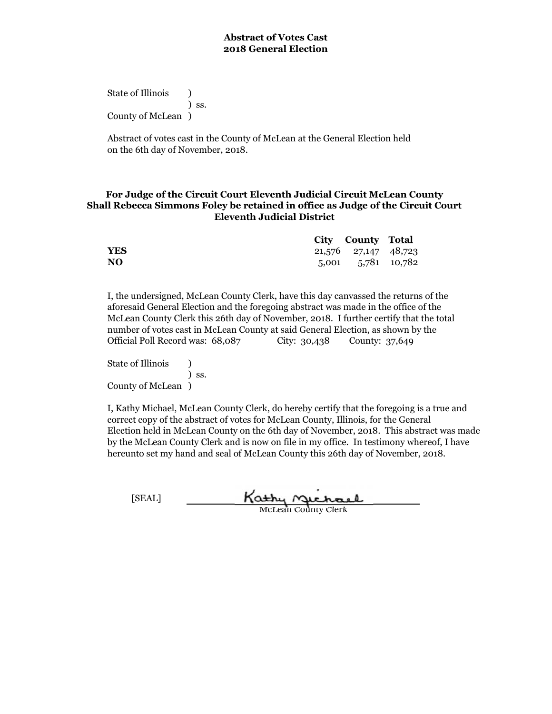State of Illinois (b) ) ss. County of McLean )

Abstract of votes cast in the County of McLean at the General Election held on the 6th day of November, 2018.

## **For Judge of the Circuit Court Eleventh Judicial Circuit McLean County Shall Rebecca Simmons Foley be retained in office as Judge of the Circuit Court Eleventh Judicial District**

|                | <b>City County Total</b> |  |
|----------------|--------------------------|--|
| <b>YES</b>     | 21,576 27,147 48,723     |  |
| N <sub>O</sub> | 5,001 5,781 10,782       |  |

I, the undersigned, McLean County Clerk, have this day canvassed the returns of the aforesaid General Election and the foregoing abstract was made in the office of the McLean County Clerk this 26th day of November, 2018. I further certify that the total number of votes cast in McLean County at said General Election, as shown by the Official Poll Record was: 68,087 City: 30,438 County: 37,649

State of Illinois (b) ) ss. County of McLean )

| [SEAL] | Kathy Michael              |
|--------|----------------------------|
|        | <b>McLean County Clerk</b> |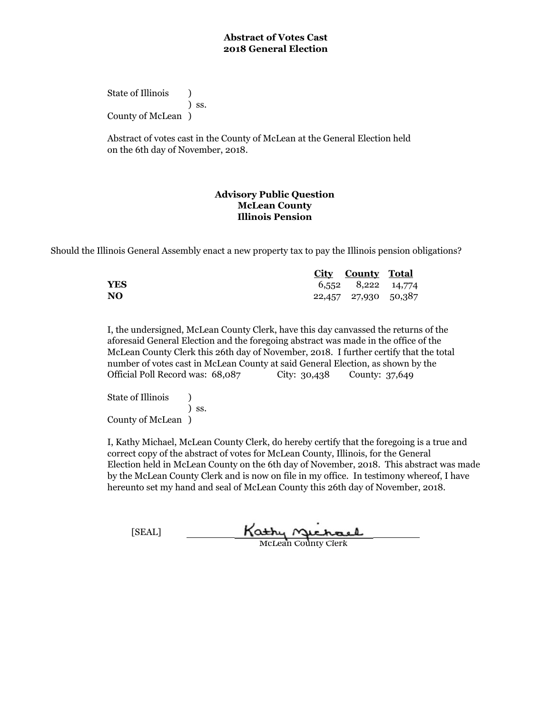State of Illinois (b) ) ss. County of McLean )

Abstract of votes cast in the County of McLean at the General Election held on the 6th day of November, 2018.

## **Advisory Public Question McLean County Illinois Pension**

Should the Illinois General Assembly enact a new property tax to pay the Illinois pension obligations?

|                | <u>City County Total</u> |  |
|----------------|--------------------------|--|
| <b>YES</b>     | 6,552 8,222 14,774       |  |
| N <sub>O</sub> | 22,457 27,930 50,387     |  |

I, the undersigned, McLean County Clerk, have this day canvassed the returns of the aforesaid General Election and the foregoing abstract was made in the office of the McLean County Clerk this 26th day of November, 2018. I further certify that the total number of votes cast in McLean County at said General Election, as shown by the Official Poll Record was: 68,087 City: 30,438 County: 37,649

State of Illinois (a) ) ss. County of McLean )

| [SEAL] | Kathy nichael              |  |
|--------|----------------------------|--|
|        | <b>McLean County Clerk</b> |  |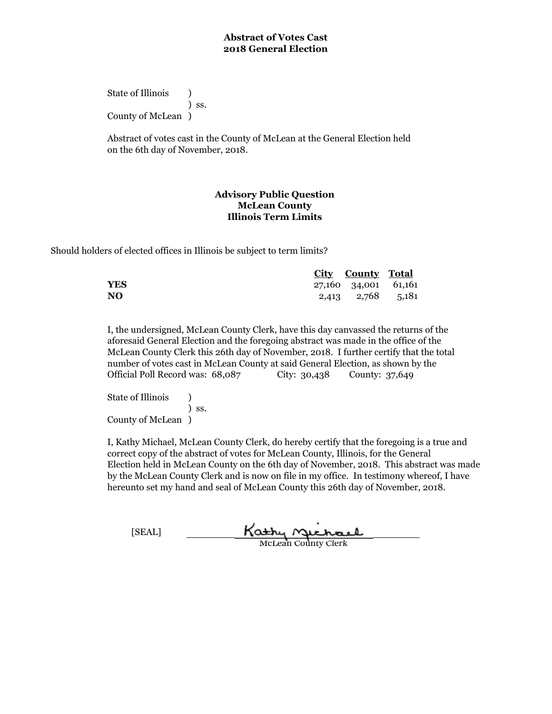State of Illinois (b) ) ss. County of McLean )

Abstract of votes cast in the County of McLean at the General Election held on the 6th day of November, 2018.

## **Advisory Public Question McLean County Illinois Term Limits**

Should holders of elected offices in Illinois be subject to term limits?

|            | <b>City County Total</b> |  |
|------------|--------------------------|--|
| <b>YES</b> | 27,160 34,001 61,161     |  |
| NO.        | 2,413 2,768 5,181        |  |

I, the undersigned, McLean County Clerk, have this day canvassed the returns of the aforesaid General Election and the foregoing abstract was made in the office of the McLean County Clerk this 26th day of November, 2018. I further certify that the total number of votes cast in McLean County at said General Election, as shown by the Official Poll Record was: 68,087 City: 30,438 County: 37,649

State of Illinois (a) ) ss. County of McLean )

| [SEAL] | Kathy nuchael              |  |
|--------|----------------------------|--|
|        | <b>McLean County Clerk</b> |  |